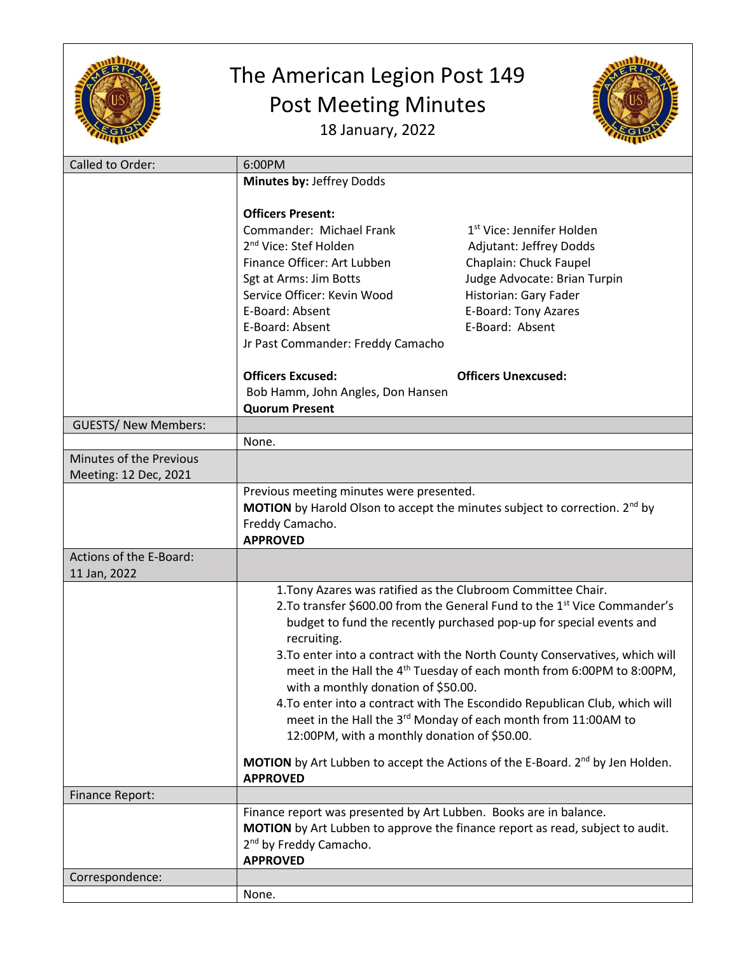

## The American Legion Post 149 Post Meeting Minutes





| Called to Order:            | 6:00PM                                                                                           |                                                                                        |  |
|-----------------------------|--------------------------------------------------------------------------------------------------|----------------------------------------------------------------------------------------|--|
|                             | Minutes by: Jeffrey Dodds                                                                        |                                                                                        |  |
|                             |                                                                                                  |                                                                                        |  |
|                             | <b>Officers Present:</b>                                                                         |                                                                                        |  |
|                             |                                                                                                  |                                                                                        |  |
|                             | Commander: Michael Frank                                                                         | 1 <sup>st</sup> Vice: Jennifer Holden                                                  |  |
|                             | 2 <sup>nd</sup> Vice: Stef Holden                                                                | Adjutant: Jeffrey Dodds                                                                |  |
|                             | Finance Officer: Art Lubben                                                                      | Chaplain: Chuck Faupel                                                                 |  |
|                             | Sgt at Arms: Jim Botts                                                                           | Judge Advocate: Brian Turpin                                                           |  |
|                             | Service Officer: Kevin Wood                                                                      | Historian: Gary Fader                                                                  |  |
|                             | E-Board: Absent                                                                                  | E-Board: Tony Azares                                                                   |  |
|                             | E-Board: Absent                                                                                  | E-Board: Absent                                                                        |  |
|                             | Jr Past Commander: Freddy Camacho                                                                |                                                                                        |  |
|                             |                                                                                                  |                                                                                        |  |
|                             | <b>Officers Excused:</b>                                                                         | <b>Officers Unexcused:</b>                                                             |  |
|                             | Bob Hamm, John Angles, Don Hansen                                                                |                                                                                        |  |
|                             | <b>Quorum Present</b>                                                                            |                                                                                        |  |
|                             |                                                                                                  |                                                                                        |  |
| <b>GUESTS/ New Members:</b> |                                                                                                  |                                                                                        |  |
|                             | None.                                                                                            |                                                                                        |  |
| Minutes of the Previous     |                                                                                                  |                                                                                        |  |
| Meeting: 12 Dec, 2021       |                                                                                                  |                                                                                        |  |
|                             | Previous meeting minutes were presented.                                                         |                                                                                        |  |
|                             |                                                                                                  | <b>MOTION</b> by Harold Olson to accept the minutes subject to correction. $2^{nd}$ by |  |
|                             | Freddy Camacho.                                                                                  |                                                                                        |  |
|                             | <b>APPROVED</b>                                                                                  |                                                                                        |  |
| Actions of the E-Board:     |                                                                                                  |                                                                                        |  |
| 11 Jan, 2022                |                                                                                                  |                                                                                        |  |
|                             | 1. Tony Azares was ratified as the Clubroom Committee Chair.                                     |                                                                                        |  |
|                             | 2. To transfer \$600.00 from the General Fund to the 1 <sup>st</sup> Vice Commander's            |                                                                                        |  |
|                             | budget to fund the recently purchased pop-up for special events and                              |                                                                                        |  |
|                             |                                                                                                  |                                                                                        |  |
|                             | recruiting.                                                                                      |                                                                                        |  |
|                             | 3. To enter into a contract with the North County Conservatives, which will                      |                                                                                        |  |
|                             | meet in the Hall the 4 <sup>th</sup> Tuesday of each month from 6:00PM to 8:00PM,                |                                                                                        |  |
|                             | with a monthly donation of \$50.00.                                                              |                                                                                        |  |
|                             | 4. To enter into a contract with The Escondido Republican Club, which will                       |                                                                                        |  |
|                             |                                                                                                  | meet in the Hall the 3rd Monday of each month from 11:00AM to                          |  |
|                             | 12:00PM, with a monthly donation of \$50.00.                                                     |                                                                                        |  |
|                             |                                                                                                  |                                                                                        |  |
|                             | <b>MOTION</b> by Art Lubben to accept the Actions of the E-Board. 2 <sup>nd</sup> by Jen Holden. |                                                                                        |  |
|                             | <b>APPROVED</b>                                                                                  |                                                                                        |  |
| <b>Finance Report:</b>      |                                                                                                  |                                                                                        |  |
|                             | Finance report was presented by Art Lubben. Books are in balance.                                |                                                                                        |  |
|                             | MOTION by Art Lubben to approve the finance report as read, subject to audit.                    |                                                                                        |  |
|                             | 2 <sup>nd</sup> by Freddy Camacho.                                                               |                                                                                        |  |
|                             | <b>APPROVED</b>                                                                                  |                                                                                        |  |
| Correspondence:             |                                                                                                  |                                                                                        |  |
|                             | None.                                                                                            |                                                                                        |  |
|                             |                                                                                                  |                                                                                        |  |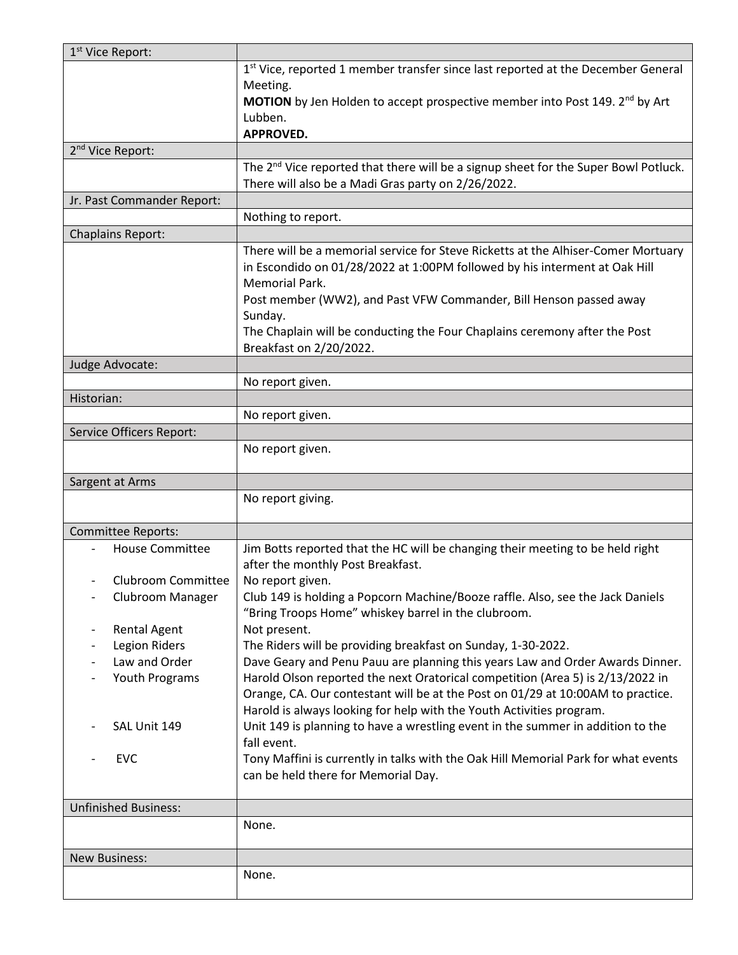| 1 <sup>st</sup> Vice Report:         |                                                                                                                                                                                                                                                                                                                                                                             |
|--------------------------------------|-----------------------------------------------------------------------------------------------------------------------------------------------------------------------------------------------------------------------------------------------------------------------------------------------------------------------------------------------------------------------------|
|                                      | 1st Vice, reported 1 member transfer since last reported at the December General<br>Meeting.<br>MOTION by Jen Holden to accept prospective member into Post 149. 2 <sup>nd</sup> by Art<br>Lubben.<br>APPROVED.                                                                                                                                                             |
| 2 <sup>nd</sup> Vice Report:         |                                                                                                                                                                                                                                                                                                                                                                             |
|                                      | The 2 <sup>nd</sup> Vice reported that there will be a signup sheet for the Super Bowl Potluck.                                                                                                                                                                                                                                                                             |
|                                      | There will also be a Madi Gras party on 2/26/2022.                                                                                                                                                                                                                                                                                                                          |
| Jr. Past Commander Report:           |                                                                                                                                                                                                                                                                                                                                                                             |
|                                      | Nothing to report.                                                                                                                                                                                                                                                                                                                                                          |
| <b>Chaplains Report:</b>             |                                                                                                                                                                                                                                                                                                                                                                             |
|                                      | There will be a memorial service for Steve Ricketts at the Alhiser-Comer Mortuary<br>in Escondido on 01/28/2022 at 1:00PM followed by his interment at Oak Hill<br>Memorial Park.<br>Post member (WW2), and Past VFW Commander, Bill Henson passed away<br>Sunday.<br>The Chaplain will be conducting the Four Chaplains ceremony after the Post<br>Breakfast on 2/20/2022. |
| Judge Advocate:                      |                                                                                                                                                                                                                                                                                                                                                                             |
|                                      | No report given.                                                                                                                                                                                                                                                                                                                                                            |
| Historian:                           |                                                                                                                                                                                                                                                                                                                                                                             |
|                                      | No report given.                                                                                                                                                                                                                                                                                                                                                            |
| Service Officers Report:             |                                                                                                                                                                                                                                                                                                                                                                             |
|                                      | No report given.                                                                                                                                                                                                                                                                                                                                                            |
|                                      |                                                                                                                                                                                                                                                                                                                                                                             |
| Sargent at Arms                      |                                                                                                                                                                                                                                                                                                                                                                             |
|                                      | No report giving.                                                                                                                                                                                                                                                                                                                                                           |
| Committee Reports:                   |                                                                                                                                                                                                                                                                                                                                                                             |
| <b>House Committee</b>               | Jim Botts reported that the HC will be changing their meeting to be held right                                                                                                                                                                                                                                                                                              |
|                                      | after the monthly Post Breakfast.                                                                                                                                                                                                                                                                                                                                           |
| Clubroom Committee                   | No report given.                                                                                                                                                                                                                                                                                                                                                            |
| Clubroom Manager                     | Club 149 is holding a Popcorn Machine/Booze raffle. Also, see the Jack Daniels                                                                                                                                                                                                                                                                                              |
|                                      | "Bring Troops Home" whiskey barrel in the clubroom.                                                                                                                                                                                                                                                                                                                         |
| <b>Rental Agent</b><br>Legion Riders | Not present.<br>The Riders will be providing breakfast on Sunday, 1-30-2022.                                                                                                                                                                                                                                                                                                |
| Law and Order                        | Dave Geary and Penu Pauu are planning this years Law and Order Awards Dinner.                                                                                                                                                                                                                                                                                               |
| Youth Programs                       | Harold Olson reported the next Oratorical competition (Area 5) is 2/13/2022 in                                                                                                                                                                                                                                                                                              |
|                                      | Orange, CA. Our contestant will be at the Post on 01/29 at 10:00AM to practice.                                                                                                                                                                                                                                                                                             |
|                                      |                                                                                                                                                                                                                                                                                                                                                                             |
|                                      |                                                                                                                                                                                                                                                                                                                                                                             |
| SAL Unit 149                         | Harold is always looking for help with the Youth Activities program.                                                                                                                                                                                                                                                                                                        |
|                                      | Unit 149 is planning to have a wrestling event in the summer in addition to the<br>fall event.                                                                                                                                                                                                                                                                              |
| <b>EVC</b>                           | Tony Maffini is currently in talks with the Oak Hill Memorial Park for what events<br>can be held there for Memorial Day.                                                                                                                                                                                                                                                   |
|                                      |                                                                                                                                                                                                                                                                                                                                                                             |
| <b>Unfinished Business:</b>          |                                                                                                                                                                                                                                                                                                                                                                             |
|                                      | None.                                                                                                                                                                                                                                                                                                                                                                       |
| <b>New Business:</b>                 |                                                                                                                                                                                                                                                                                                                                                                             |
|                                      | None.                                                                                                                                                                                                                                                                                                                                                                       |